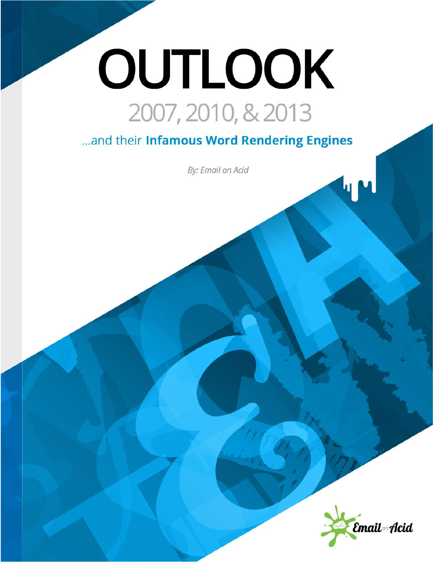# OUTLOOK 2007, 2010, & 2013

... and their Infamous Word Rendering Engines

By: Email on Acid

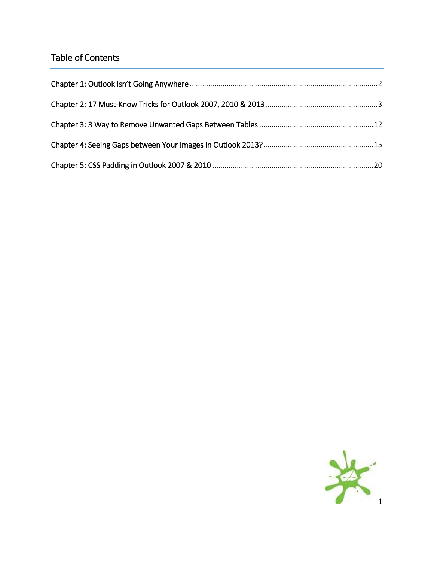# Table of Contents

<span id="page-1-0"></span>

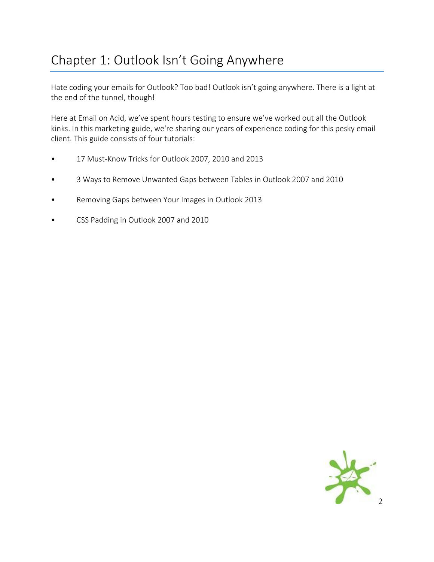# Chapter 1: Outlook Isn't Going Anywhere

Hate coding your emails for Outlook? Too bad! Outlook isn't going anywhere. There is a light at the end of the tunnel, though!

Here at Email on Acid, we've spent hours testing to ensure we've worked out all the Outlook kinks. In this marketing guide, we're sharing our years of experience coding for this pesky email client. This guide consists of four tutorials:

- 17 Must-Know Tricks for Outlook 2007, 2010 and 2013
- 3 Ways to Remove Unwanted Gaps between Tables in Outlook 2007 and 2010
- Removing Gaps between Your Images in Outlook 2013
- CSS Padding in Outlook 2007 and 2010

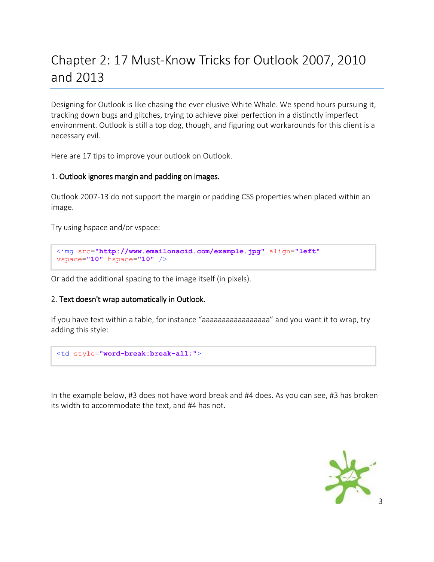# <span id="page-3-0"></span>Chapter 2: 17 Must-Know Tricks for Outlook 2007, 2010 and 2013

Designing for Outlook is like chasing the ever elusive White Whale. We spend hours pursuing it, tracking down bugs and glitches, trying to achieve pixel perfection in a distinctly imperfect environment. Outlook is still a top dog, though, and figuring out workarounds for this client is a necessary evil.

Here are 17 tips to improve your outlook on Outlook.

#### 1. Outlook ignores margin and padding on images.

Outlook 2007-13 do not support the margin or padding CSS properties when placed within an image.

Try using hspace and/or vspace:

```
<img src="http://www.emailonacid.com/example.jpg" align="left"
vspace="10" hspace="10" />
```
Or add the additional spacing to the image itself (in pixels).

#### 2. Text doesn't wrap automatically in Outlook.

If you have text within a table, for instance "aaaaaaaaaaaaaaaaaaa" and you want it to wrap, try adding this style:

```
<td style="word-break:break-all;">
```
In the example below, #3 does not have word break and #4 does. As you can see, #3 has broken its width to accommodate the text, and #4 has not.

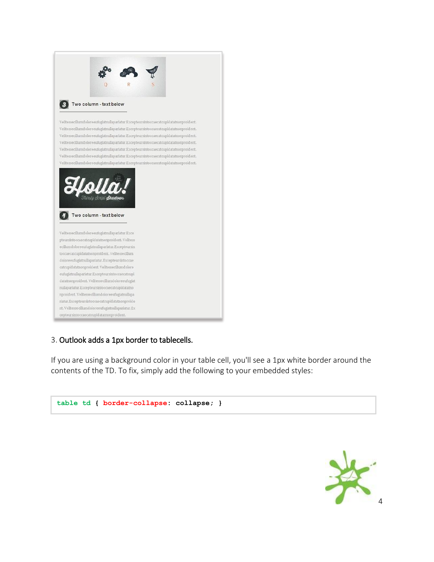

## 3. Outlook adds a 1px border to tablecells.

If you are using a background color in your table cell, you'll see a 1px white border around the contents of the TD. To fix, simply add the following to your embedded styles:



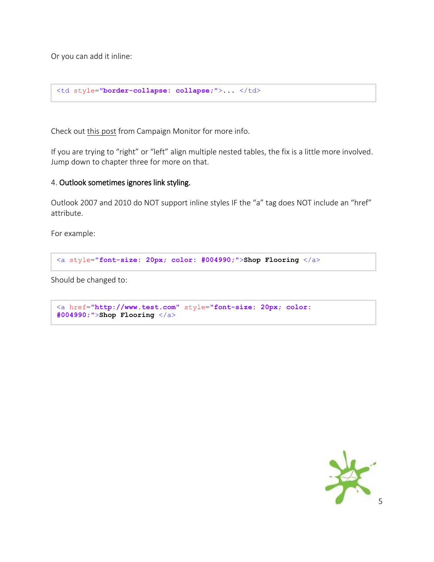Or you can add it inline:

```
<td style="border-collapse: collapse;">... </td>
```
Check out [this post](http://www.campaignmonitor.com/blog/post/3392/1px-borders-padding-on-table-cells-in-outlook-07/) from Campaign Monitor for more info.

If you are trying to "right" or "left" align multiple nested tables, the fix is a little more involved. Jump down to chapter three for more on that.

#### 4. Outlook sometimes ignores link styling.

Outlook 2007 and 2010 do NOT support inline styles IF the "a" tag does NOT include an "href" attribute.

For example:

```
<a style="font-size: 20px; color: #004990;">Shop Flooring </a>
```
Should be changed to:

```
<a href="http://www.test.com" style="font-size: 20px; color: 
#004990;">Shop Flooring </a>
```
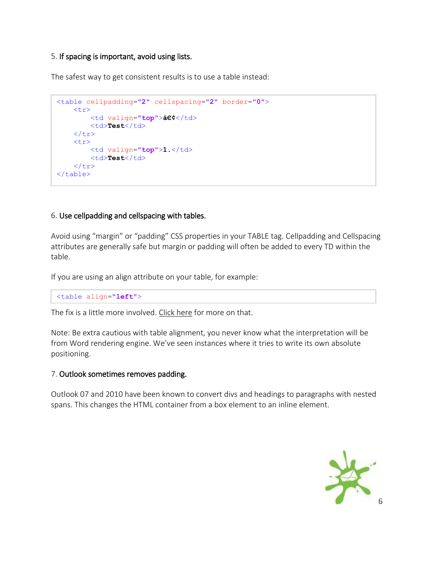#### 5. If spacing is important, avoid using lists.

The safest way to get consistent results is to use a table instead:

```
<table cellpadding="2" cellspacing="2" border="0">
     <tr>
          <td valign="top">•</td>
          <td>Test</td>
    \langle/tr>
     <tr>
          <td valign="top">1.</td>
         <td>Test</td>
    \langle/tr>
\langle/table>
```
## 6. Use cellpadding and cellspacing with tables.

Avoid using "margin" or "padding" CSS properties in your TABLE tag. Cellpadding and Cellspacing attributes are generally safe but margin or padding will often be added to every TD within the table.

If you are using an align attribute on your table, for example:

```
<table align="left">
```
The fix is a little more involved. [Click here](http://www.emailonacid.com/blog/details/C13/removing_unwanted_spacing_or_gaps_between_tables_in_outlook_2007_2010) for more on that.

Note: Be extra cautious with table alignment, you never know what the interpretation will be from Word rendering engine. We've seen instances where it tries to write its own absolute positioning.

## 7. Outlook sometimes removes padding.

Outlook 07 and 2010 have been known to convert divs and headings to paragraphs with nested spans. This changes the HTML container from a box element to an inline element.

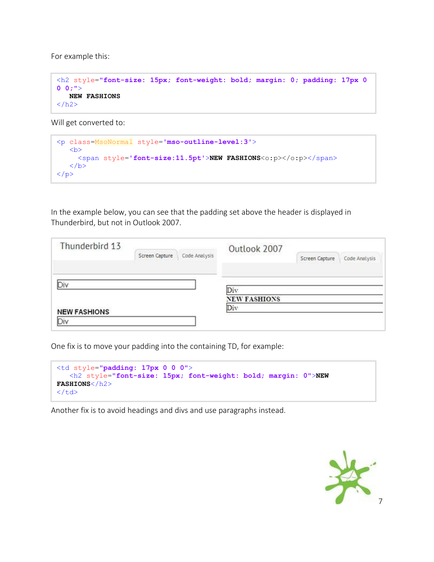For example this:

```
<h2 style="font-size: 15px; font-weight: bold; margin: 0; padding: 17px 0 
0 0;">
    NEW FASHIONS
\langle/h2\rangle
```
Will get converted to:

```
<p class=MsoNormal style='mso-outline-level:3'>

      <span style='font-size:11.5pt'>NEW FASHIONS<o:p></o:p></span>
   \langle/b>
\langle/p>
```
In the example below, you can see that the padding set above the header is displayed in Thunderbird, but not in Outlook 2007.

| Thunderbird 13      |                                      |               | Outlook 2007               |                |               |
|---------------------|--------------------------------------|---------------|----------------------------|----------------|---------------|
|                     | CASTING INTERFERED<br>Screen Capture | Code Analysis |                            | Screen Capture | Code Analysis |
| ЭB                  |                                      |               |                            |                |               |
|                     |                                      |               | Div<br><b>NEW FASHIONS</b> |                |               |
| <b>NEW FASHIONS</b> |                                      |               | Div                        |                |               |
| Div                 |                                      |               |                            |                |               |

One fix is to move your padding into the containing TD, for example:

```
<td style="padding: 17px 0 0 0">
    <h2 style="font-size: 15px; font-weight: bold; margin: 0">NEW 
FASHIONS</h2>
\langle/td>
```
Another fix is to avoid headings and divs and use paragraphs instead.

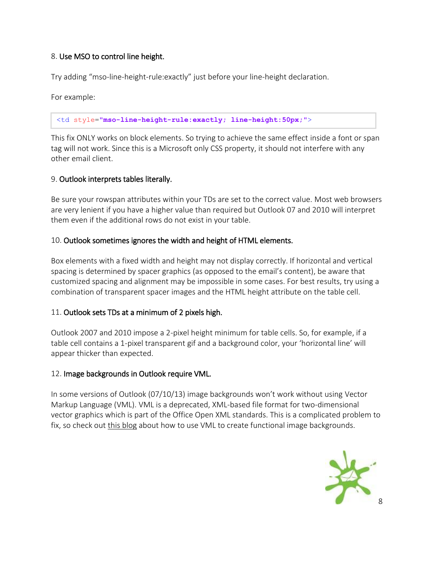# 8. Use MSO to control line height.

Try adding "mso-line-height-rule:exactly" just before your line-height declaration.

For example:

<td style=**"mso-line-height-rule:exactly; line-height:50px;"**>

This fix ONLY works on block elements. So trying to achieve the same effect inside a font or span tag will not work. Since this is a Microsoft only CSS property, it should not interfere with any other email client.

# 9. Outlook interprets tables literally.

Be sure your rowspan attributes within your TDs are set to the correct value. Most web browsers are very lenient if you have a higher value than required but Outlook 07 and 2010 will interpret them even if the additional rows do not exist in your table.

# 10. Outlook sometimes ignores the width and height of HTML elements.

Box elements with a fixed width and height may not display correctly. If horizontal and vertical spacing is determined by spacer graphics (as opposed to the email's content), be aware that customized spacing and alignment may be impossible in some cases. For best results, try using a combination of transparent spacer images and the HTML height attribute on the table cell.

# 11. Outlook sets TDs at a minimum of 2 pixels high.

Outlook 2007 and 2010 impose a 2-pixel height minimum for table cells. So, for example, if a table cell contains a 1-pixel transparent gif and a background color, your 'horizontal line' will appear thicker than expected.

## 12. Image backgrounds in Outlook require VML.

In some versions of Outlook (07/10/13) image backgrounds won't work without using Vector Markup Language (VML). VML is a deprecated, XML-based file format for two-dimensional vector graphics which is part of the Office Open XML standards. This is a complicated problem to fix, so check out [this blog](http://www.emailonacid.com/blog/details/C13/emailology_vector_markup_language_and_backgrounds) about how to use VML to create functional image backgrounds.

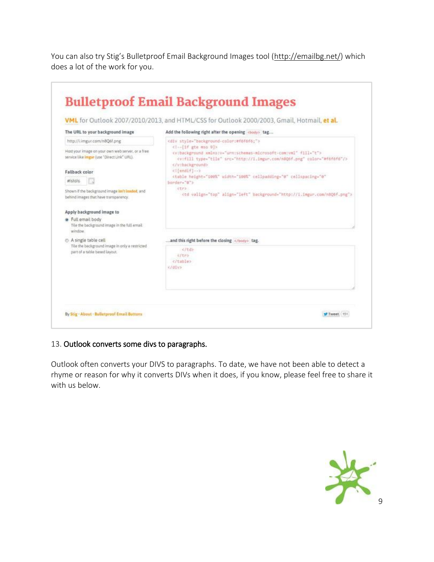You can also try Stig's Bulletproof Email Background Images tool ([http://emailbg.net/\)](http://emailbg.net/) which does a lot of the work for you.

| The URL to your background image                                                                       |                                                                                                                                                                                                                                                |  |  |  |  |
|--------------------------------------------------------------------------------------------------------|------------------------------------------------------------------------------------------------------------------------------------------------------------------------------------------------------------------------------------------------|--|--|--|--|
|                                                                                                        | Add the following right after the opening<br><br>thody> tag                                                                                                                                                                                    |  |  |  |  |
| http://Limgur.com/n8Q6f.png                                                                            | <div style="background-color:#f6f6f6;"><br/>&lt;1 -- [1f gte mso 0]&gt;<br/>cv:background_xmlns:v="urn:schemas-microsoft-com:vml" fill="t"&gt;<br/><v:fill color="#f6f6f6" src="http://i.imgur.com/n8Q6f.png" type="tile"></v:fill><br/></div> |  |  |  |  |
| Host your image on your own web server, or a free<br>service like imgar (use "Direct Link" URL).       |                                                                                                                                                                                                                                                |  |  |  |  |
| Fallback color                                                                                         | <l{endif}--></l{endif}-->                                                                                                                                                                                                                      |  |  |  |  |
| atsisis:                                                                                               | <table <br="" cellpadding="0" cellspacing="0" height="100%" width="100%">border-"8"&gt;</table>                                                                                                                                                |  |  |  |  |
| Shown if the background image inn't leaded, and<br>behind images that have transparency.               | itra.<br><td align="left" background="http://i.imgur.com/n906f.png" valign="top"></td>                                                                                                                                                         |  |  |  |  |
| Apply background image to                                                                              |                                                                                                                                                                                                                                                |  |  |  |  |
| Full email body<br>Tile the background image in the full email.<br>window.                             |                                                                                                                                                                                                                                                |  |  |  |  |
| A single table cell<br>Tile the background image in only a restricted<br>part of a table based layout. | and this right before the closing  tag.                                                                                                                                                                                                        |  |  |  |  |
|                                                                                                        |                                                                                                                                                                                                                                                |  |  |  |  |

# 13. Outlook converts some divs to paragraphs.

Outlook often converts your DIVS to paragraphs. To date, we have not been able to detect a rhyme or reason for why it converts DIVs when it does, if you know, please feel free to share it with us below.

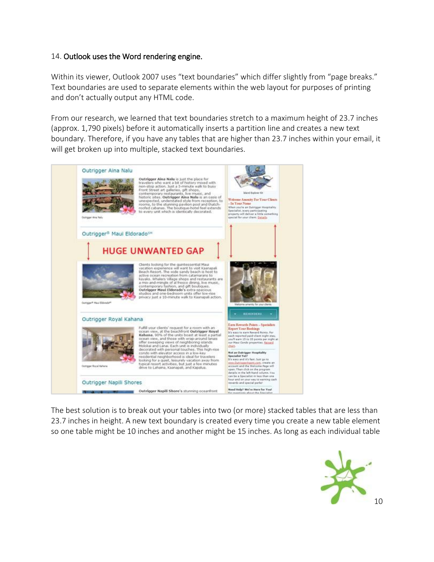## 14. Outlook uses the Word rendering engine.

Within its viewer, Outlook 2007 uses "text boundaries" which differ slightly from "page breaks." Text boundaries are used to separate elements within the web layout for purposes of printing and don't actually output any HTML code.

From our research, we learned that text boundaries stretch to a maximum height of 23.7 inches (approx. 1,790 pixels) before it automatically inserts a partition line and creates a new text boundary. Therefore, if you have any tables that are higher than 23.7 inches within your email, it will get broken up into multiple, stacked text boundaries.



The best solution is to break out your tables into two (or more) stacked tables that are less than 23.7 inches in height. A new text boundary is created every time you create a new table element so one table might be 10 inches and another might be 15 inches. As long as each individual table

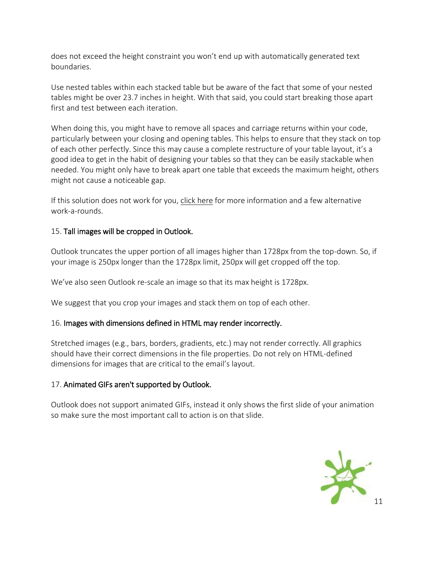does not exceed the height constraint you won't end up with automatically generated text boundaries.

Use nested tables within each stacked table but be aware of the fact that some of your nested tables might be over 23.7 inches in height. With that said, you could start breaking those apart first and test between each iteration.

When doing this, you might have to remove all spaces and carriage returns within your code, particularly between your closing and opening tables. This helps to ensure that they stack on top of each other perfectly. Since this may cause a complete restructure of your table layout, it's a good idea to get in the habit of designing your tables so that they can be easily stackable when needed. You might only have to break apart one table that exceeds the maximum height, others might not cause a noticeable gap.

If this solution does not work for you, [click here](http://www.emailonacid.com/blog/details/C13/horizontal_spacing_issues_in_outlook_2007_and_2010) for more information and a few alternative work-a-rounds.

# 15. Tall images will be cropped in Outlook.

Outlook truncates the upper portion of all images higher than 1728px from the top-down. So, if your image is 250px longer than the 1728px limit, 250px will get cropped off the top.

We've also seen Outlook re-scale an image so that its max height is 1728px.

We suggest that you crop your images and stack them on top of each other.

# 16. Images with dimensions defined in HTML may render incorrectly.

Stretched images (e.g., bars, borders, gradients, etc.) may not render correctly. All graphics should have their correct dimensions in the file properties. Do not rely on HTML-defined dimensions for images that are critical to the email's layout.

# 17. Animated GIFs aren't supported by Outlook.

Outlook does not support animated GIFs, instead it only shows the first slide of your animation so make sure the most important call to action is on that slide.

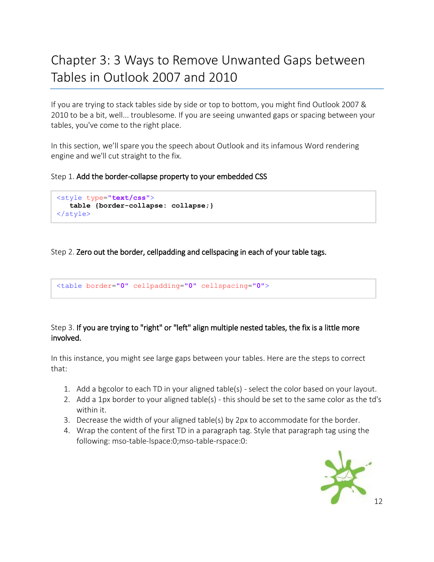# <span id="page-12-0"></span>Chapter 3: 3 Ways to Remove Unwanted Gaps between Tables in Outlook 2007 and 2010

If you are trying to stack tables side by side or top to bottom, you might find Outlook 2007 & 2010 to be a bit, well... troublesome. If you are seeing unwanted gaps or spacing between your tables, you've come to the right place.

In this section, we'll spare you the speech about Outlook and its infamous Word rendering engine and we'll cut straight to the fix.

Step 1. Add the border-collapse property to your embedded CSS

```
<style type="text/css">
    table {border-collapse: collapse;}
</style>
```
# Step 2. Zero out the border, cellpadding and cellspacing in each of your table tags.

<table border=**"0"** cellpadding=**"0"** cellspacing=**"0"**>

## Step 3. If you are trying to "right" or "left" align multiple nested tables, the fix is a little more involved.

In this instance, you might see large gaps between your tables. Here are the steps to correct that:

- 1. Add a bgcolor to each TD in your aligned table(s) select the color based on your layout.
- 2. Add a 1px border to your aligned table(s) this should be set to the same color as the td's within it.
- 3. Decrease the width of your aligned table(s) by 2px to accommodate for the border.
- 4. Wrap the content of the first TD in a paragraph tag. Style that paragraph tag using the following: mso-table-lspace:0;mso-table-rspace:0:

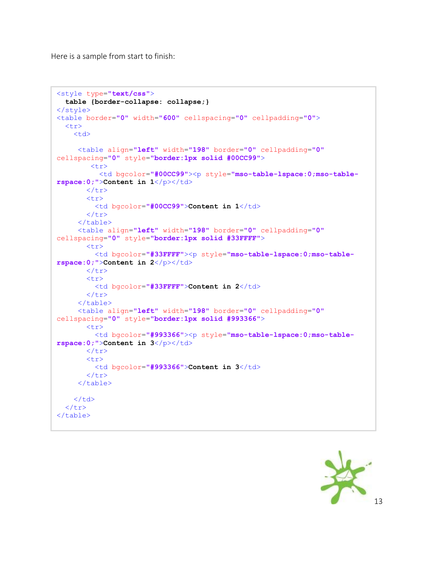Here is a sample from start to finish:

```
<style type="text/css">
   table {border-collapse: collapse;}
</style>
<table border="0" width="600" cellspacing="0" cellpadding="0">
  <tr><td>
      <table align="left" width="198" border="0" cellpadding="0"
cellspacing="0" style="border:1px solid #00CC99">
        <tr>
           <td bgcolor="#00CC99"><p style="mso-table-lspace:0;mso-table-
rspace:0;">Content in 1</p></td>
        </tr>
        <tr>
          <td bgcolor="#00CC99">Content in 1</td>
       \langle/tr>
      </table>
      <table align="left" width="198" border="0" cellpadding="0"
cellspacing="0" style="border:1px solid #33FFFF">
        <tr>
          <td bgcolor="#33FFFF"><p style="mso-table-lspace:0;mso-table-
rspace:0;">Content in 2 < p> /p></td>
        </tr>
        <tr>
          <td bgcolor="#33FFFF">Content in 2</td>
       \langle/tr>
      </table>
      <table align="left" width="198" border="0" cellpadding="0"
cellspacing="0" style="border:1px solid #993366">
        <tr>
          <td bgcolor="#993366"><p style="mso-table-lspace:0;mso-table-
rspace:0;">Content in 3</p></td>
        </tr>
        <tr>
          <td bgcolor="#993366">Content in 3</td>
        </tr> 
      </table>
    \langle t \rangle\langle/tr>
</table>
```
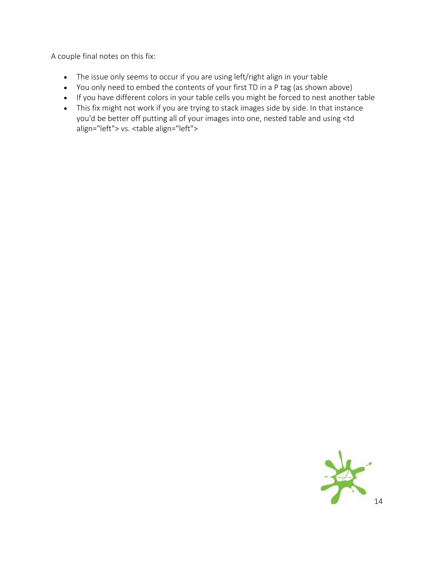A couple final notes on this fix:

- The issue only seems to occur if you are using left/right align in your table
- You only need to embed the contents of your first TD in a P tag (as shown above)
- If you have different colors in your table cells you might be forced to nest another table
- <span id="page-14-0"></span> This fix might not work if you are trying to stack images side by side. In that instance you'd be better off putting all of your images into one, nested table and using <td align="left"> vs. <table align="left">

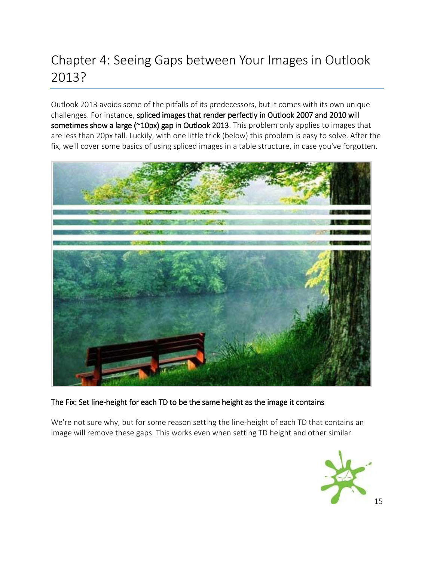# Chapter 4: Seeing Gaps between Your Images in Outlook 2013?

Outlook 2013 avoids some of the pitfalls of its predecessors, but it comes with its own unique challenges. For instance, spliced images that render perfectly in Outlook 2007 and 2010 will sometimes show a large (~10px) gap in Outlook 2013. This problem only applies to images that are less than 20px tall. Luckily, with one little trick (below) this problem is easy to solve. After the fix, we'll cover some basics of using spliced images in a table structure, in case you've forgotten.



# The Fix: Set line-height for each TD to be the same height as the image it contains

We're not sure why, but for some reason setting the line-height of each TD that contains an image will remove these gaps. This works even when setting TD height and other similar

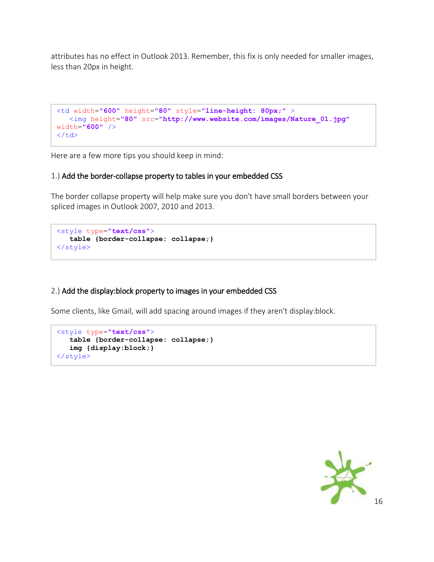attributes has no effect in Outlook 2013. Remember, this fix is only needed for smaller images, less than 20px in height.

```
<td width="600" height="80" style="line-height: 80px;" >
    <img height="80" src="http://www.website.com/images/Nature_01.jpg"
width="600" />
\langle t \rangle
```
Here are a few more tips you should keep in mind:

## 1.) Add the border-collapse property to tables in your embedded CSS

The border collapse property will help make sure you don't have small borders between your spliced images in Outlook 2007, 2010 and 2013.

```
<style type="text/css">
   table {border-collapse: collapse;}
</style>
```
# 2.) Add the display:block property to images in your embedded CSS

Some clients, like Gmail, will add spacing around images if they aren't display:block.

```
<style type="text/css">
   table {border-collapse: collapse;}
   img {display:block;}
</style>
```
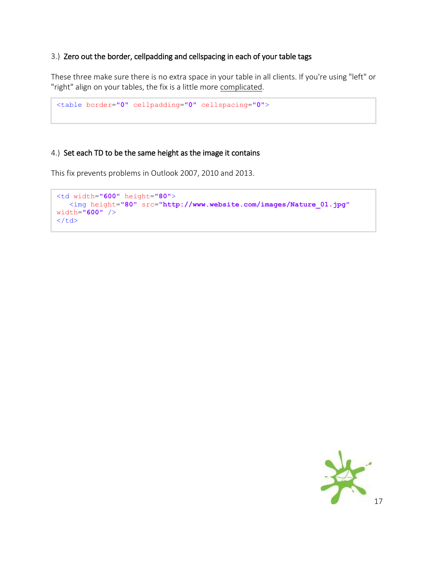## 3.) Zero out the border, cellpadding and cellspacing in each of your table tags

These three make sure there is no extra space in your table in all clients. If you're using "left" or "right" align on your tables, the fix is a little more [complicated.](http://www.emailonacid.com/blog/details/C13/removing_unwanted_spacing_or_gaps_between_tables_in_outlook_2007_2010)

```
<table border="0" cellpadding="0" cellspacing="0">
```
# 4.) Set each TD to be the same height as the image it contains

This fix prevents problems in Outlook 2007, 2010 and 2013.

```
<td width="600" height="80">
    <img height="80" src="http://www.website.com/images/Nature_01.jpg"
width="600" />
\langle t \rangle
```
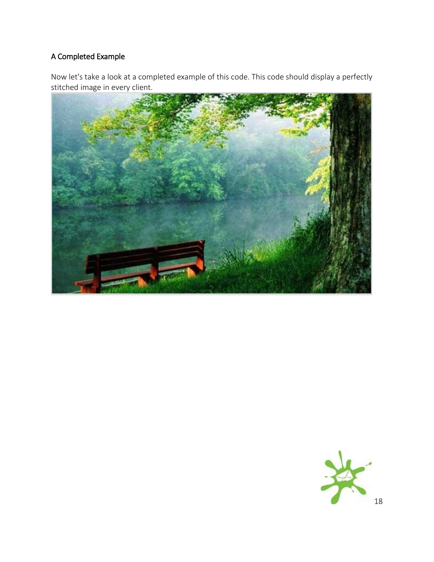# A Completed Example

Now let's take a look at a completed example of this code. This code should display a perfectly stitched image in every client.



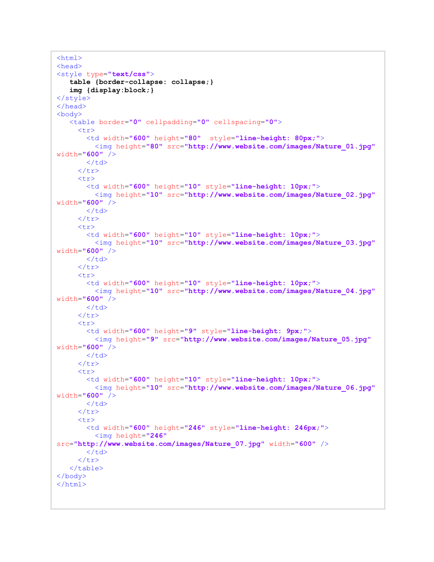```
<html><head>
<style type="text/css">
    table {border-collapse: collapse;}
    img {display:block;}
</style>
</head>
<body>
    <table border="0" cellpadding="0" cellspacing="0">
      <tr>
        <td width="600" height="80" style="line-height: 80px;">
           <img height="80" src="http://www.website.com/images/Nature_01.jpg"
width="600" />
       \langle/td>
      </tr>
      <tr>
        <td width="600" height="10" style="line-height: 10px;">
          <img height="10" src="http://www.website.com/images/Nature_02.jpg"
width="600" />
       \langle/td>
     \langle/tr>
      <tr>
        <td width="600" height="10" style="line-height: 10px;">
          <img height="10" src="http://www.website.com/images/Nature_03.jpg"
width="600" />
       \langle/td>
     \langle/tr>
      <tr>
        <td width="600" height="10" style="line-height: 10px;">
          <img height="10" src="http://www.website.com/images/Nature_04.jpg"
width="600" />
       \langle/td>
      </tr>
      <tr>
        <td width="600" height="9" style="line-height: 9px;">
          <img height="9" src="http://www.website.com/images/Nature_05.jpg"
width="600" />
       \langle/td>
      </tr>
     \langle \text{tr} \rangle <td width="600" height="10" style="line-height: 10px;">
           <img height="10" src="http://www.website.com/images/Nature_06.jpg"
width="600" />
       \langle/td>
     \langle/tr>
      <tr>
        <td width="600" height="246" style="line-height: 246px;">
          <img height="246"
src="http://www.website.com/images/Nature_07.jpg" width="600" />
       \langle t \rangle\langle/tr>
    </table>
</body>
</html>
```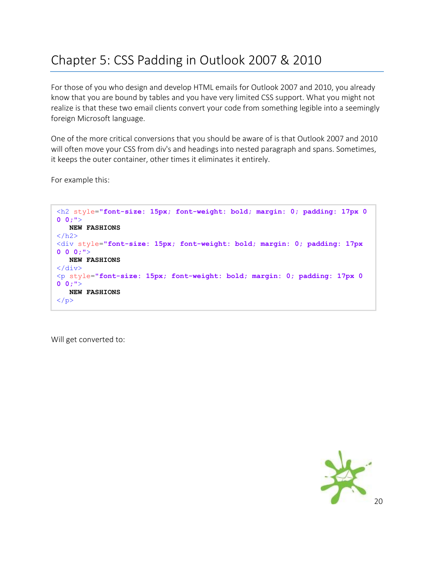# <span id="page-20-0"></span>Chapter 5: CSS Padding in Outlook 2007 & 2010

For those of you who design and develop HTML emails for Outlook 2007 and 2010, you already know that you are bound by tables and you have very limited CSS support. What you might not realize is that these two email clients convert your code from something legible into a seemingly foreign Microsoft language.

One of the more critical conversions that you should be aware of is that Outlook 2007 and 2010 will often move your CSS from div's and headings into nested paragraph and spans. Sometimes, it keeps the outer container, other times it eliminates it entirely.

For example this:

```
<h2 style="font-size: 15px; font-weight: bold; margin: 0; padding: 17px 0 
0 0;">
    NEW FASHIONS
\langle/h2>
<div style="font-size: 15px; font-weight: bold; margin: 0; padding: 17px 
0 0 0;">
    NEW FASHIONS
\langle div>
<p style="font-size: 15px; font-weight: bold; margin: 0; padding: 17px 0 
0 0;">
    NEW FASHIONS
\langle/p>
```
Will get converted to:

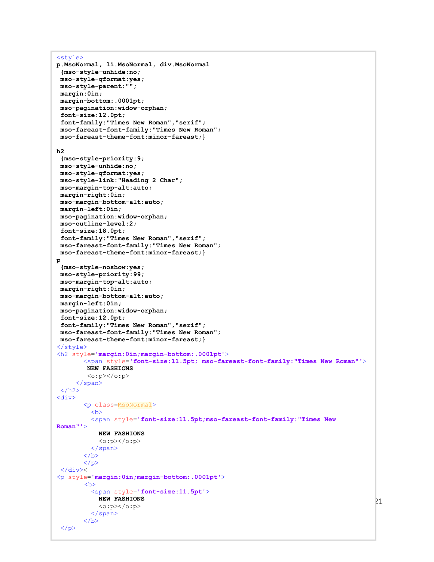```
<style>
p.MsoNormal, li.MsoNormal, div.MsoNormal
 {mso-style-unhide:no;
 mso-style-qformat:yes;
 mso-style-parent:"";
 margin:0in;
 margin-bottom:.0001pt;
 mso-pagination:widow-orphan;
 font-size:12.0pt;
 font-family:"Times New Roman","serif";
 mso-fareast-font-family:"Times New Roman";
 mso-fareast-theme-font:minor-fareast;}
h2
 {mso-style-priority:9;
 mso-style-unhide:no;
 mso-style-qformat:yes;
 mso-style-link:"Heading 2 Char";
 mso-margin-top-alt:auto;
 margin-right:0in;
 mso-margin-bottom-alt:auto;
 margin-left:0in;
 mso-pagination:widow-orphan;
 mso-outline-level:2;
 font-size:18.0pt;
 font-family:"Times New Roman","serif";
 mso-fareast-font-family:"Times New Roman";
 mso-fareast-theme-font:minor-fareast;} 
p
 {mso-style-noshow:yes;
 mso-style-priority:99;
 mso-margin-top-alt:auto;
 margin-right:0in;
 mso-margin-bottom-alt:auto;
 margin-left:0in;
 mso-pagination:widow-orphan;
 font-size:12.0pt;
 font-family:"Times New Roman","serif";
 mso-fareast-font-family:"Times New Roman";
 mso-fareast-theme-font:minor-fareast;}
</style>
<h2 style='margin:0in;margin-bottom:.0001pt'>
        <span style='font-size:11.5pt; mso-fareast-font-family:"Times New Roman"'>
         NEW FASHIONS
         <o:p></o:p>
      </span>
 \langle/h2>
<div>
        <p class=MsoNormal>

          <span style='font-size:11.5pt;mso-fareast-font-family:"Times New 
Roman"'>
            NEW FASHIONS
            <o:p></o:p>
          </span>
       \langle/b>
       \langle p \rangle\langle div><p style='margin:0in;margin-bottom:.0001pt'>

          <span style='font-size:11.5pt'>
            NEW FASHIONS
            <o:p></o:p>
          </span>
       \langle/b>
 \langle/p>
```
21